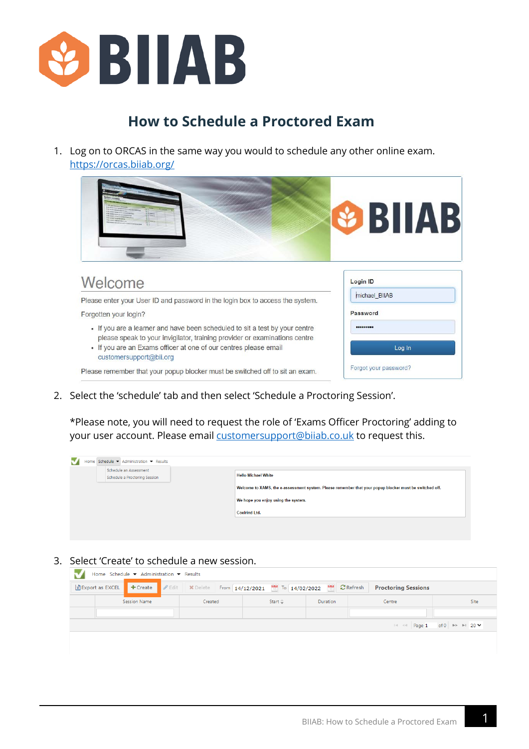

## **How to Schedule a Proctored Exam**

1. Log on to ORCAS in the same way you would to schedule any other online exam. <https://orcas.biiab.org/>



2. Select the 'schedule' tab and then select 'Schedule a Proctoring Session'.

\*Please note, you will need to request the role of 'Exams Officer Proctoring' adding to your user account. Please email [customersupport@biiab.co.uk](mailto:customersupport@biiab.co.uk?subject=Request%20to%20add%20Exam%20Officer%20Proctoring%20to%20my%20account) to request this.

| Schedule an Assessment<br>Schedule a Proctoring Session | <b>Hello Michael White</b>                                                                              |
|---------------------------------------------------------|---------------------------------------------------------------------------------------------------------|
|                                                         | Welcome to XAMS, the e-assessment system. Please remember that your popup blocker must be switched off. |
|                                                         | We hope you enjoy using the system.                                                                     |
|                                                         | <b>Coelrind Ltd.</b>                                                                                    |
|                                                         |                                                                                                         |

3. Select 'Create' to schedule a new session.

|  | Home Schedule $\blacktriangledown$ Administration $\blacktriangledown$ Results |                                                                                                 |  |                                                   |          |  |                            |                                                           |
|--|--------------------------------------------------------------------------------|-------------------------------------------------------------------------------------------------|--|---------------------------------------------------|----------|--|----------------------------|-----------------------------------------------------------|
|  | $\frac{1}{2}$ Export as EXCEL $\frac{1}{2}$ + Create                           | $\bullet$ Edit   X Delete   From $14/12/2021$   To $14/02/2022$   $\bullet$   $\bullet$ Refresh |  |                                                   |          |  | <b>Proctoring Sessions</b> |                                                           |
|  | Session Name                                                                   | Created                                                                                         |  | Start $\stackrel{\scriptscriptstyle\triangle}{=}$ | Duration |  | Centre                     | Site                                                      |
|  |                                                                                |                                                                                                 |  |                                                   |          |  |                            |                                                           |
|  |                                                                                |                                                                                                 |  |                                                   |          |  |                            | $\mathbb{R}$ < Page 1 of 0 $\mathbb{R}$ + 20 $\mathbb{V}$ |
|  |                                                                                |                                                                                                 |  |                                                   |          |  |                            |                                                           |
|  |                                                                                |                                                                                                 |  |                                                   |          |  |                            |                                                           |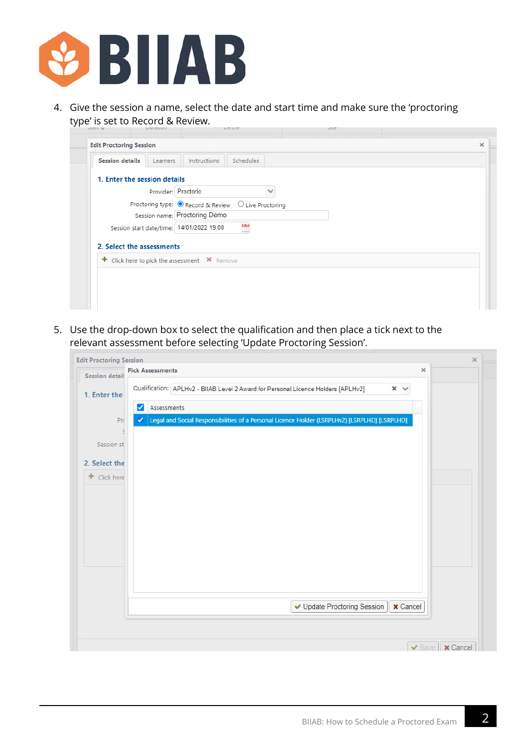

4. Give the session a name, select the date and start time and make sure the 'proctoring type' is set to Record & Review.

| <b>Session details</b><br>Learners           | Instructions<br>Schedules                                        |
|----------------------------------------------|------------------------------------------------------------------|
| 1. Enter the session details                 |                                                                  |
|                                              | Provider: Proctorio                                              |
|                                              | Proctoring type: ● Record & Review<br>$\bigcirc$ Live Proctoring |
|                                              | Session name: Proctoring Demo                                    |
| Session start date/time: 14/01/2022 19:00    | 體                                                                |
| 2. Select the assessments                    |                                                                  |
| + Click here to pick the assessment X Remove |                                                                  |
|                                              |                                                                  |

5. Use the drop-down box to select the qualification and then place a tick next to the relevant assessment before selecting 'Update Proctoring Session'.

| Session detail       | <b>Pick Assessments</b><br>$\times$                                                                               |  |
|----------------------|-------------------------------------------------------------------------------------------------------------------|--|
| 1. Enter the         | Qualification: APLHv2 - BIIAB Level 2 Award for Personal Licence Holders [APLHv2]<br>$\times$ $\times$            |  |
| Pro                  | Assessments<br>✓<br>Legal and Social Responsibilities of a Personal Licence Holder (LSRPLHv2) [LSRPLHD] [LSRPLHD] |  |
| $\leq$<br>Session st |                                                                                                                   |  |
| 2. Select the        |                                                                                                                   |  |
| + Click here         |                                                                                                                   |  |
|                      |                                                                                                                   |  |
|                      |                                                                                                                   |  |
|                      |                                                                                                                   |  |
|                      |                                                                                                                   |  |
|                      |                                                                                                                   |  |
|                      | ✔ Update Proctoring Session<br><b>x</b> Cancel                                                                    |  |
|                      |                                                                                                                   |  |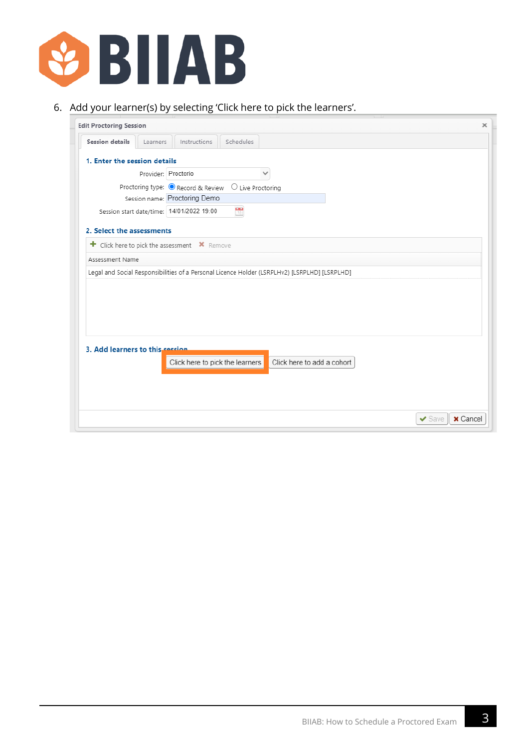

## 6. Add your learner(s) by selecting 'Click here to pick the learners'.

| <b>Edit Proctoring Session</b>  |                     |                                              |                  |                                                                                               | $\times$        |
|---------------------------------|---------------------|----------------------------------------------|------------------|-----------------------------------------------------------------------------------------------|-----------------|
| <b>Session details</b>          | Learners            | Instructions                                 | <b>Schedules</b> |                                                                                               |                 |
| 1. Enter the session details    |                     |                                              |                  |                                                                                               |                 |
|                                 | Provider: Proctorio |                                              |                  |                                                                                               |                 |
|                                 |                     | Proctoring type: ● Record & Review           |                  | $\bigcirc$ Live Proctoring                                                                    |                 |
|                                 |                     | Session name: Proctoring Demo                |                  |                                                                                               |                 |
|                                 |                     | Session start date/time: 14/01/2022 19:00    | ₩                |                                                                                               |                 |
|                                 |                     |                                              |                  |                                                                                               |                 |
| 2. Select the assessments       |                     |                                              |                  |                                                                                               |                 |
|                                 |                     | + Click here to pick the assessment * Remove |                  |                                                                                               |                 |
| Assessment Name                 |                     |                                              |                  |                                                                                               |                 |
|                                 |                     |                                              |                  | Legal and Social Responsibilities of a Personal Licence Holder (LSRPLHv2) [LSRPLHD] [LSRPLHD] |                 |
|                                 |                     |                                              |                  |                                                                                               |                 |
|                                 |                     |                                              |                  |                                                                                               |                 |
|                                 |                     |                                              |                  |                                                                                               |                 |
|                                 |                     |                                              |                  |                                                                                               |                 |
|                                 |                     |                                              |                  |                                                                                               |                 |
| 3. Add learners to this session |                     |                                              |                  |                                                                                               |                 |
|                                 |                     |                                              |                  | Click here to add a cohort                                                                    |                 |
|                                 |                     | Click here to pick the learners              |                  |                                                                                               |                 |
|                                 |                     |                                              |                  |                                                                                               |                 |
|                                 |                     |                                              |                  |                                                                                               |                 |
|                                 |                     |                                              |                  |                                                                                               |                 |
|                                 |                     |                                              |                  | $\blacktriangleright$ Save                                                                    | <b>x</b> Cancel |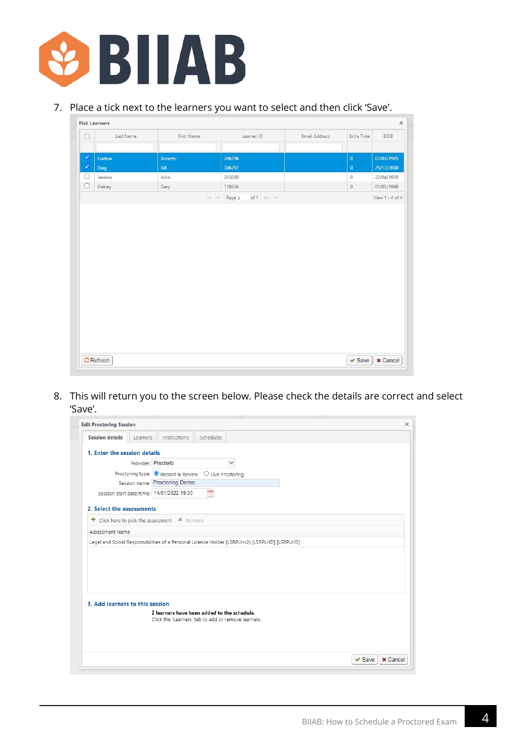

## 7. Place a tick next to the learners you want to select and then click 'Save'.

| $\Box$ | Last Name   | First Name | Learner ID                            | Email Address | Extra Time   | DOB             |
|--------|-------------|------------|---------------------------------------|---------------|--------------|-----------------|
|        |             |            |                                       |               |              |                 |
| ۷      | Curtain     | Annette    | 386796                                |               | $\pmb{0}$    | 01/03/1985      |
| ٧      | <b>Ding</b> | Bill       | 386797                                |               | $\mathbf{0}$ | 25/12/2000      |
| 0      | Jenkins     | John       | 265080                                |               | $\mathbb O$  | 22/04/1950      |
| $\Box$ | Oakley      | Gary       | 178226                                |               | $\,$ 0       | 01/05/1990      |
|        |             |            | of $1 \Rightarrow -1$<br>le el Page 1 |               |              | View 1 - 4 of 4 |
|        |             |            |                                       |               |              |                 |
|        |             |            |                                       |               |              |                 |

8. This will return you to the screen below. Please check the details are correct and select 'Save'.

|                                              | <b>Edit Proctoring Session</b> |                                             |                            |                                                                                               |  |  |
|----------------------------------------------|--------------------------------|---------------------------------------------|----------------------------|-----------------------------------------------------------------------------------------------|--|--|
| <b>Session details</b>                       | Learners                       | Instructions                                | <b>Schedules</b>           |                                                                                               |  |  |
| 1. Enter the session details                 |                                |                                             |                            |                                                                                               |  |  |
|                                              | Provider: Proctorio            |                                             |                            |                                                                                               |  |  |
|                                              |                                | Proctoring type: ● Record & Review          | $\bigcirc$ Live Proctoring |                                                                                               |  |  |
|                                              |                                | Session name: Proctoring Demo               |                            |                                                                                               |  |  |
|                                              |                                | Session start date/time: 14/01/2022 19:00   | 现                          |                                                                                               |  |  |
|                                              |                                |                                             |                            |                                                                                               |  |  |
| 2. Select the assessments                    |                                |                                             |                            |                                                                                               |  |  |
| + Click here to pick the assessment X Remove |                                |                                             |                            |                                                                                               |  |  |
| Assessment Name                              |                                |                                             |                            |                                                                                               |  |  |
|                                              |                                |                                             |                            | Legal and Social Responsibilities of a Personal Licence Holder (LSRPLHv2) [LSRPLHD] [LSRPLHD] |  |  |
|                                              |                                |                                             |                            |                                                                                               |  |  |
|                                              |                                |                                             |                            |                                                                                               |  |  |
|                                              |                                |                                             |                            |                                                                                               |  |  |
|                                              |                                |                                             |                            |                                                                                               |  |  |
|                                              |                                |                                             |                            |                                                                                               |  |  |
|                                              |                                |                                             |                            |                                                                                               |  |  |
| 3. Add learners to this session              |                                |                                             |                            |                                                                                               |  |  |
|                                              |                                | 2 learners have been added to the schedule. |                            |                                                                                               |  |  |
|                                              |                                |                                             |                            | Click the 'Learners' tab to add or remove learners.                                           |  |  |
|                                              |                                |                                             |                            |                                                                                               |  |  |
|                                              |                                |                                             |                            |                                                                                               |  |  |
|                                              |                                |                                             |                            |                                                                                               |  |  |